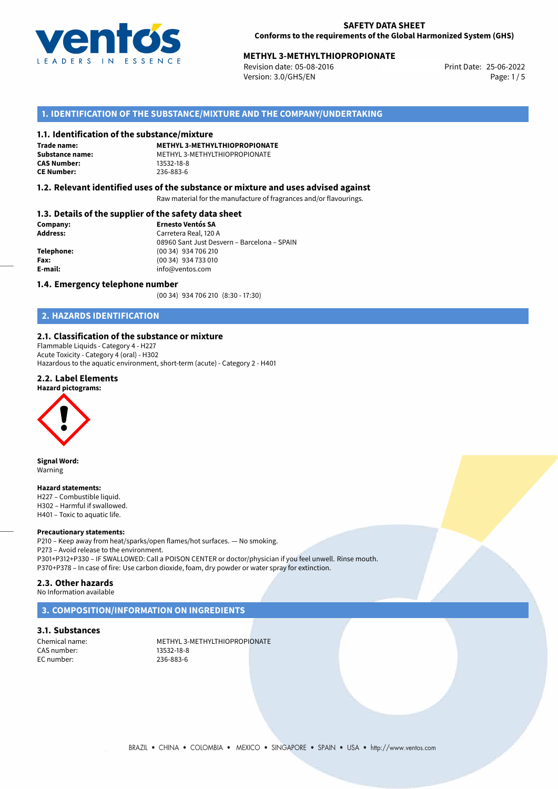

# **METHYL 3-METHYLTHIOPROPIONATE**<br>25-06-2022 **Print Date: 25-06-2022** Print Date: 25-06-2022

Revision date: 05-08-2016 Version: 3.0/GHS/EN Page: 1/5

# **1. IDENTIFICATION OF THE SUBSTANCE/MIXTURE AND THE COMPANY/UNDERTAKING**

### **1.1. Identification of the substance/mixture**

**Trade name: CAS Number: CE Number:** 236-883-6

**METHYL 3-METHYLTHIOPROPIONATE Substance name:** METHYL 3-METHYLTHIOPROPIONATE

## **1.2. Relevant identified uses of the substance or mixture and uses advised against**

Raw material for the manufacture of fragrances and/or flavourings.

# **1.3. Details of the supplier of the safety data sheet**

| Company:        | <b>Ernesto Ventós SA</b>                    |  |
|-----------------|---------------------------------------------|--|
| <b>Address:</b> | Carretera Real, 120 A                       |  |
|                 | 08960 Sant Just Desvern - Barcelona - SPAIN |  |
| Telephone:      | (00 34) 934 706 210                         |  |
| Fax:            | (00 34) 934 733 010                         |  |
| E-mail:         | info@ventos.com                             |  |
|                 |                                             |  |

### **1.4. Emergency telephone number**

(00 34) 934 706 210 (8:30 - 17:30)

# **2. HAZARDS IDENTIFICATION**

## **2.1. Classification of the substance or mixture**

Flammable Liquids - Category 4 - H227 Acute Toxicity - Category 4 (oral) - H302 Hazardous to the aquatic environment, short-term (acute) - Category 2 - H401

# **2.2. Label Elements**



**Signal Word:** Warning

#### **Hazard statements:**

H227 – Combustible liquid. H302 – Harmful if swallowed. H401 – Toxic to aquatic life.

### **Precautionary statements:**

P210 – Keep away from heat/sparks/open flames/hot surfaces. — No smoking. P273 – Avoid release to the environment. P301+P312+P330 – IF SWALLOWED: Call a POISON CENTER or doctor/physician if you feel unwell. Rinse mouth. P370+P378 – In case of fire: Use carbon dioxide, foam, dry powder or water spray for extinction.

### **2.3. Other hazards**

No Information available

# **3. COMPOSITION/INFORMATION ON INGREDIENTS**

**3.1. Substances**

CAS number: 13532-18-8<br>EC number: 13532-18-8<br>236-883-6 EC number:

Chemical name: METHYL 3-METHYLTHIOPROPIONATE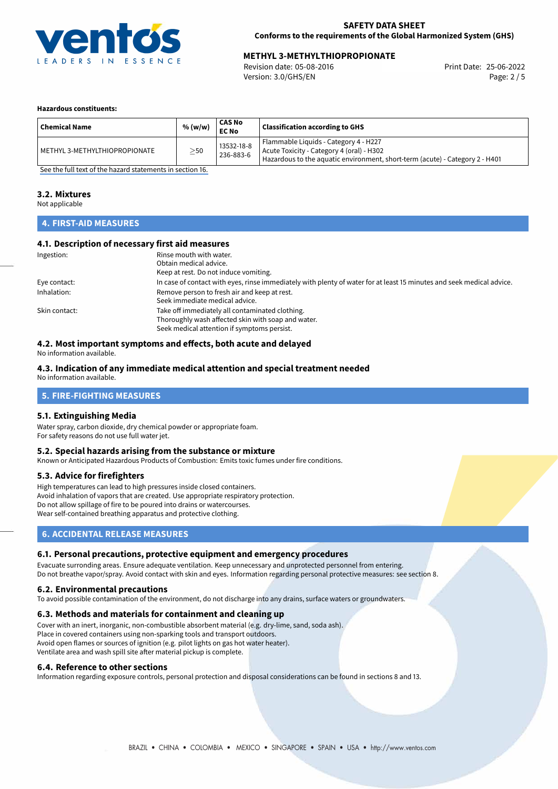

# **METHYL 3-METHYLTHIOPROPIONATE**<br>
Revision date: 05-08-2016<br> **Print Date: 25-06-2022**

Revision date: 05-08-2016 Version: 3.0/GHS/EN Page: 2 / 5

### **Hazardous constituents:**

| <b>Chemical Name</b>          | % (w/w)   | CAS No<br><b>EC No</b>  | Classification according to GHS                                                                                                                                    |
|-------------------------------|-----------|-------------------------|--------------------------------------------------------------------------------------------------------------------------------------------------------------------|
| METHYL 3-METHYLTHIOPROPIONATE | $\geq$ 50 | 13532-18-8<br>236-883-6 | Flammable Liquids - Category 4 - H227<br>Acute Toxicity - Category 4 (oral) - H302<br>Hazardous to the aquatic environment, short-term (acute) - Category 2 - H401 |

[See the full text of the hazard statements in section 16.](#page-4-0)

### **3.2. Mixtures**

Not applicable

# **4. FIRST-AID MEASURES**

# **4.1. Description of necessary first aid measures**

| Ingestion:    | Rinse mouth with water.                                                                                               |
|---------------|-----------------------------------------------------------------------------------------------------------------------|
|               | Obtain medical advice.                                                                                                |
|               | Keep at rest. Do not induce vomiting.                                                                                 |
| Eye contact:  | In case of contact with eyes, rinse immediately with plenty of water for at least 15 minutes and seek medical advice. |
| Inhalation:   | Remove person to fresh air and keep at rest.                                                                          |
|               | Seek immediate medical advice.                                                                                        |
| Skin contact: | Take off immediately all contaminated clothing.                                                                       |
|               | Thoroughly wash affected skin with soap and water.                                                                    |
|               | Seek medical attention if symptoms persist.                                                                           |

# **4.2. Most important symptoms and effects, both acute and delayed**

No information available.

### **4.3. Indication of any immediate medical attention and special treatment needed**

No information available.

# **5. FIRE-FIGHTING MEASURES**

### **5.1. Extinguishing Media**

Water spray, carbon dioxide, dry chemical powder or appropriate foam. For safety reasons do not use full water jet.

# **5.2. Special hazards arising from the substance or mixture**

Known or Anticipated Hazardous Products of Combustion: Emits toxic fumes under fire conditions.

### **5.3. Advice for firefighters**

High temperatures can lead to high pressures inside closed containers. Avoid inhalation of vapors that are created. Use appropriate respiratory protection. Do not allow spillage of fire to be poured into drains or watercourses. Wear self-contained breathing apparatus and protective clothing.

# **6. ACCIDENTAL RELEASE MEASURES**

### **6.1. Personal precautions, protective equipment and emergency procedures**

Evacuate surronding areas. Ensure adequate ventilation. Keep unnecessary and unprotected personnel from entering. Do not breathe vapor/spray. Avoid contact with skin and eyes. Information regarding personal protective measures: see section 8.

### **6.2. Environmental precautions**

To avoid possible contamination of the environment, do not discharge into any drains, surface waters or groundwaters.

### **6.3. Methods and materials for containment and cleaning up**

Cover with an inert, inorganic, non-combustible absorbent material (e.g. dry-lime, sand, soda ash). Place in covered containers using non-sparking tools and transport outdoors. Avoid open flames or sources of ignition (e.g. pilot lights on gas hot water heater). Ventilate area and wash spill site after material pickup is complete.

### **6.4. Reference to other sections**

Information regarding exposure controls, personal protection and disposal considerations can be found in sections 8 and 13.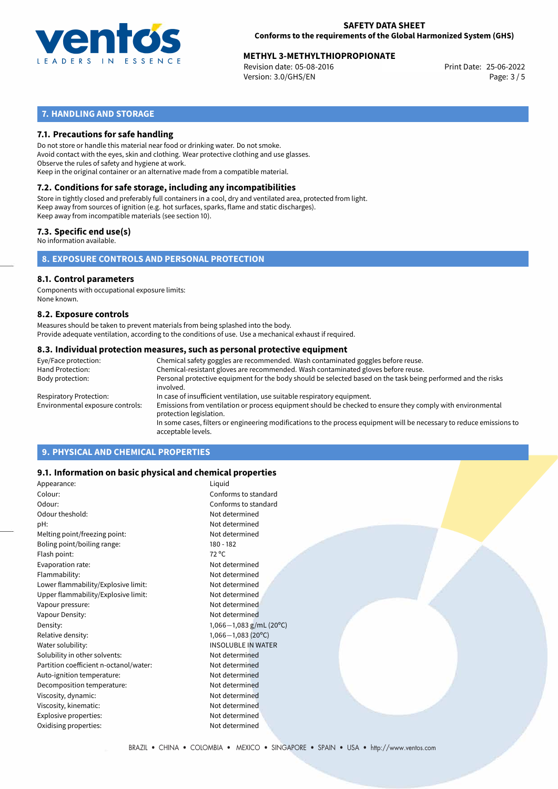

# **METHYL 3-METHYLTHIOPROPIONATE**<br>25-06-2022 Print Date: 05-08-2016

Revision date: 05-08-2016 Version: 3.0/GHS/EN Page: 3 / 5

# **7. HANDLING AND STORAGE**

# **7.1. Precautions for safe handling**

Do not store or handle this material near food or drinking water. Do not smoke. Avoid contact with the eyes, skin and clothing. Wear protective clothing and use glasses. Observe the rules of safety and hygiene at work. Keep in the original container or an alternative made from a compatible material.

# **7.2. Conditions for safe storage, including any incompatibilities**

Store in tightly closed and preferably full containers in a cool, dry and ventilated area, protected from light. Keep away from sources of ignition (e.g. hot surfaces, sparks, flame and static discharges). Keep away from incompatible materials (see section 10).

# **7.3. Specific end use(s)**

No information available.

**8. EXPOSURE CONTROLS AND PERSONAL PROTECTION**

### **8.1. Control parameters**

Components with occupational exposure limits: None known.

### **8.2. Exposure controls**

Measures should be taken to prevent materials from being splashed into the body. Provide adequate ventilation, according to the conditions of use. Use a mechanical exhaust if required.

### **8.3. Individual protection measures, such as personal protective equipment**

| Eye/Face protection:             | Chemical safety goggles are recommended. Wash contaminated goggles before reuse.                                                            |
|----------------------------------|---------------------------------------------------------------------------------------------------------------------------------------------|
| Hand Protection:                 | Chemical-resistant gloves are recommended. Wash contaminated gloves before reuse.                                                           |
| Body protection:                 | Personal protective equipment for the body should be selected based on the task being performed and the risks<br>involved.                  |
| Respiratory Protection:          | In case of insufficient ventilation, use suitable respiratory equipment.                                                                    |
| Environmental exposure controls: | Emissions from ventilation or process equipment should be checked to ensure they comply with environmental<br>protection legislation.       |
|                                  | In some cases, filters or engineering modifications to the process equipment will be necessary to reduce emissions to<br>acceptable levels. |
|                                  |                                                                                                                                             |

# **9. PHYSICAL AND CHEMICAL PROPERTIES**

# **9.1. Information on basic physical and chemical properties**

| Appearance:                            | Liquid                    |
|----------------------------------------|---------------------------|
| Colour:                                | Conforms to standard      |
| Odour:                                 | Conforms to standard      |
| Odour theshold:                        | Not determined            |
| pH:                                    | Not determined            |
| Melting point/freezing point:          | Not determined            |
| Boling point/boiling range:            | $180 - 182$               |
| Flash point:                           | $72^{\circ}$ C            |
| Evaporation rate:                      | Not determined            |
| Flammability:                          | Not determined            |
| Lower flammability/Explosive limit:    | Not determined            |
| Upper flammability/Explosive limit:    | Not determined            |
| Vapour pressure:                       | Not determined            |
| Vapour Density:                        | Not determined            |
| Density:                               | 1,066-1,083 g/mL (20°C)   |
| Relative density:                      | $1,066 - 1,083(20°C)$     |
| Water solubility:                      | <b>INSOLUBLE IN WATER</b> |
| Solubility in other solvents:          | Not determined            |
| Partition coefficient n-octanol/water: | Not determined            |
| Auto-ignition temperature:             | Not determined            |
| Decomposition temperature:             | Not determined            |
| Viscosity, dynamic:                    | Not determined            |
| Viscosity, kinematic:                  | Not determined            |
| Explosive properties:                  | Not determined            |
| Oxidising properties:                  | Not determined            |
|                                        |                           |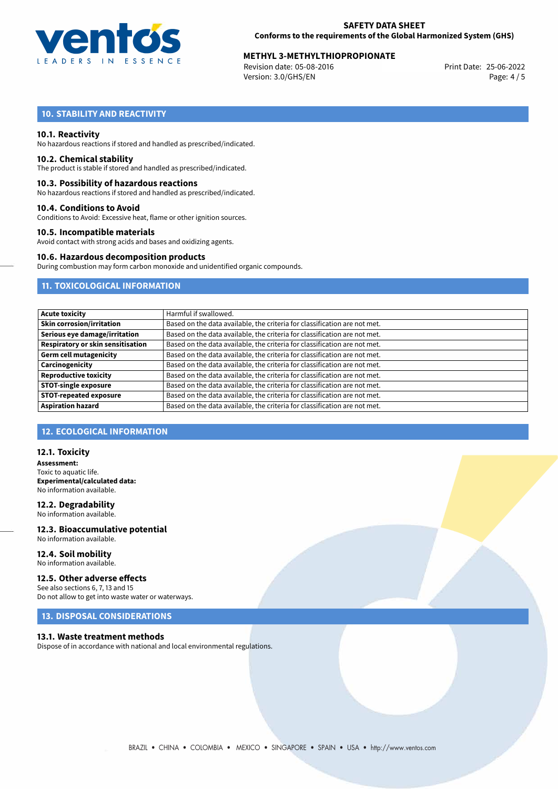

# **METHYL 3-METHYLTHIOPROPIONATE**<br>25-06-2022 Print Date: 05-08-2016

Revision date: 05-08-2016 Version: 3.0/GHS/EN Page: 4 / 5

# **10. STABILITY AND REACTIVITY**

## **10.1. Reactivity**

No hazardous reactions if stored and handled as prescribed/indicated.

### **10.2. Chemical stability**

The product is stable if stored and handled as prescribed/indicated.

### **10.3. Possibility of hazardous reactions**

No hazardous reactions if stored and handled as prescribed/indicated.

### **10.4. Conditions to Avoid**

Conditions to Avoid: Excessive heat, flame or other ignition sources.

# **10.5. Incompatible materials**

Avoid contact with strong acids and bases and oxidizing agents.

# **10.6. Hazardous decomposition products**

During combustion may form carbon monoxide and unidentified organic compounds.

# **11. TOXICOLOGICAL INFORMATION**

| <b>Acute toxicity</b>             | Harmful if swallowed.                                                     |
|-----------------------------------|---------------------------------------------------------------------------|
| <b>Skin corrosion/irritation</b>  | Based on the data available, the criteria for classification are not met. |
| Serious eye damage/irritation     | Based on the data available, the criteria for classification are not met. |
| Respiratory or skin sensitisation | Based on the data available, the criteria for classification are not met. |
| Germ cell mutagenicity            | Based on the data available, the criteria for classification are not met. |
| Carcinogenicity                   | Based on the data available, the criteria for classification are not met. |
| <b>Reproductive toxicity</b>      | Based on the data available, the criteria for classification are not met. |
| <b>STOT-single exposure</b>       | Based on the data available, the criteria for classification are not met. |
| <b>STOT-repeated exposure</b>     | Based on the data available, the criteria for classification are not met. |
| <b>Aspiration hazard</b>          | Based on the data available, the criteria for classification are not met. |

# **12. ECOLOGICAL INFORMATION**

## **12.1. Toxicity**

**Assessment:** Toxic to aquatic life. **Experimental/calculated data:** No information available.

**12.2. Degradability** No information available.

**12.3. Bioaccumulative potential** No information available.

#### **12.4. Soil mobility** No information available.

### **12.5. Other adverse effects**

See also sections 6, 7, 13 and 15 Do not allow to get into waste water or waterways.

# **13. DISPOSAL CONSIDERATIONS**

### **13.1. Waste treatment methods**

Dispose of in accordance with national and local environmental regulations.